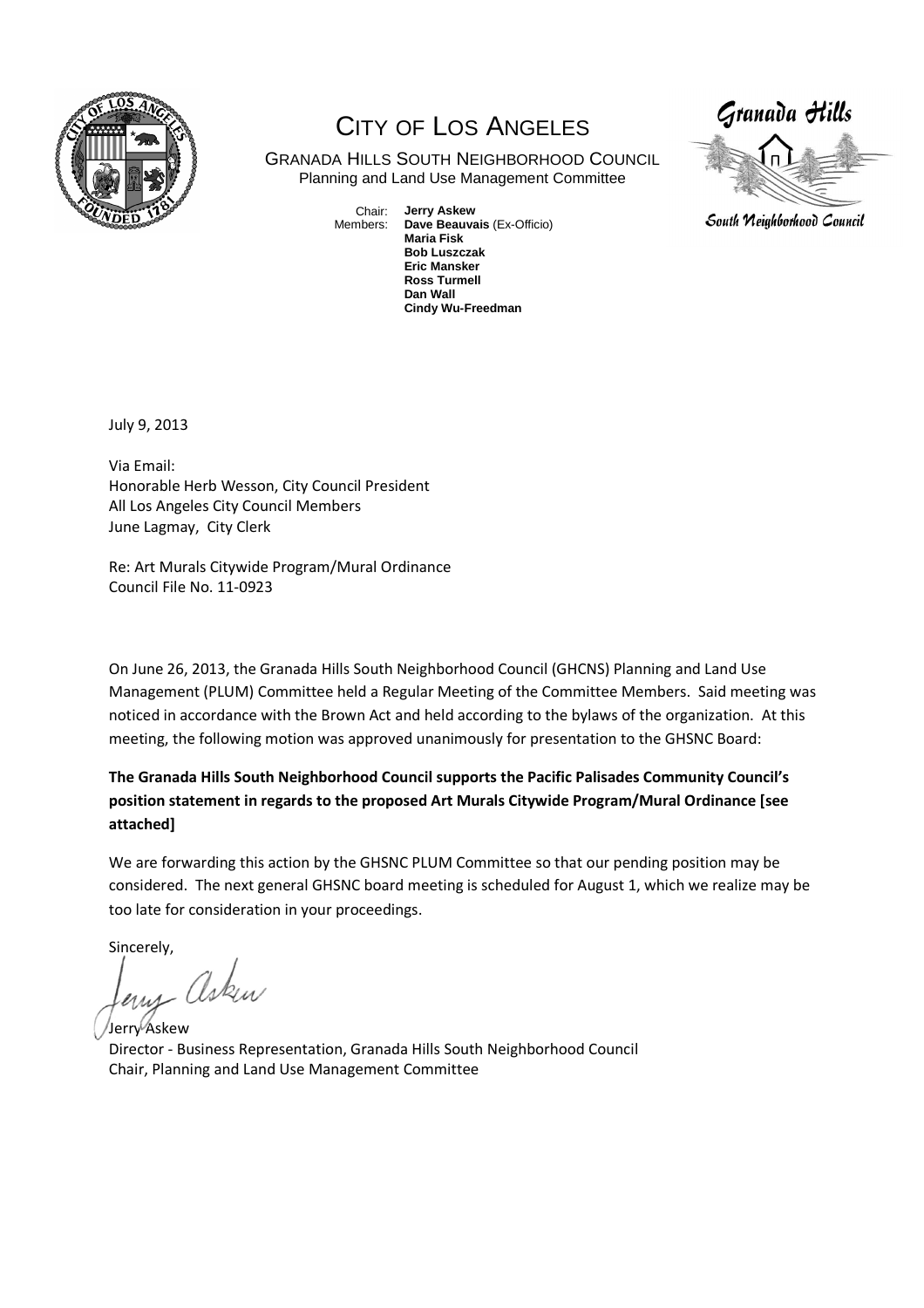

## CITY OF LOS ANGELES

GRANADA HILLS SOUTH NEIGHBORHOOD COUNCIL Planning and Land Use Management Committee

> Chair: Members: **Jerry Askew Dave Beauvais** (Ex-Officio) **Maria Fisk Bob Luszczak Eric Mansker Ross Turmell Dan Wall Cindy Wu-Freedman**



South Neighborhood Council

July 9, 2013

Via Email: Honorable Herb Wesson, City Council President All Los Angeles City Council Members June Lagmay, City Clerk

Re: Art Murals Citywide Program/Mural Ordinance Council File No. 11-0923

On June 26, 2013, the Granada Hills South Neighborhood Council (GHCNS) Planning and Land Use Management (PLUM) Committee held a Regular Meeting of the Committee Members. Said meeting was noticed in accordance with the Brown Act and held according to the bylaws of the organization. At this meeting, the following motion was approved unanimously for presentation to the GHSNC Board:

**The Granada Hills South Neighborhood Council supports the Pacific Palisades Community Council's position statement in regards to the proposed Art Murals Citywide Program/Mural Ordinance [see attached]** 

We are forwarding this action by the GHSNC PLUM Committee so that our pending position may be considered. The next general GHSNC board meeting is scheduled for August 1, which we realize may be too late for consideration in your proceedings.

Sincerely,

leny Asken

Jerry Askew Director - Business Representation, Granada Hills South Neighborhood Council Chair, Planning and Land Use Management Committee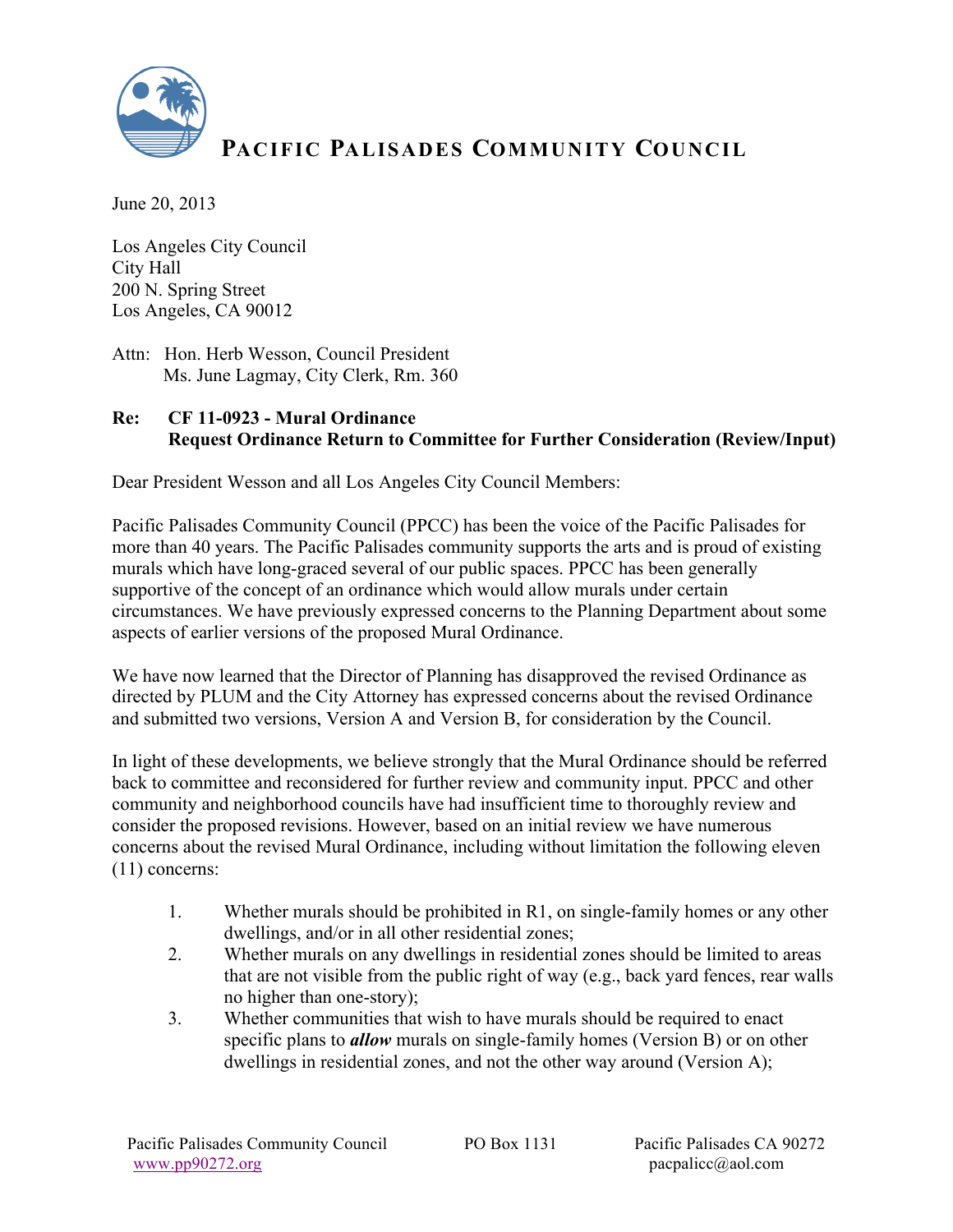

## PACIFIC PALISADES COMMUNITY COUNCIL

June 20, 2013

Los Angeles City Council City Hall 200 N. Spring Street Los Angeles, CA 90012

Attn: Hon. Herb Wesson, Council President Ms. June Lagmay, City Clerk, Rm. 360

## **Re: CF 11-0923 - Mural Ordinance Request Ordinance Return to Committee for Further Consideration (Review/Input)**

Dear President Wesson and all Los Angeles City Council Members:

Pacific Palisades Community Council (PPCC) has been the voice of the Pacific Palisades for more than 40 years. The Pacific Palisades community supports the arts and is proud of existing murals which have long-graced several of our public spaces. PPCC has been generally supportive of the concept of an ordinance which would allow murals under certain circumstances. We have previously expressed concerns to the Planning Department about some aspects of earlier versions of the proposed Mural Ordinance.

We have now learned that the Director of Planning has disapproved the revised Ordinance as directed by PLUM and the City Attorney has expressed concerns about the revised Ordinance and submitted two versions, Version A and Version B, for consideration by the Council.

In light of these developments, we believe strongly that the Mural Ordinance should be referred back to committee and reconsidered for further review and community input. PPCC and other community and neighborhood councils have had insufficient time to thoroughly review and consider the proposed revisions. However, based on an initial review we have numerous concerns about the revised Mural Ordinance, including without limitation the following eleven (11) concerns:

- 1. Whether murals should be prohibited in R1, on single-family homes or any other dwellings, and/or in all other residential zones;
- 2. Whether murals on any dwellings in residential zones should be limited to areas that are not visible from the public right of way (e.g., back yard fences, rear walls no higher than one-story);
- 3. Whether communities that wish to have murals should be required to enact specific plans to *allow* murals on single-family homes (Version B) or on other dwellings in residential zones, and not the other way around (Version A);